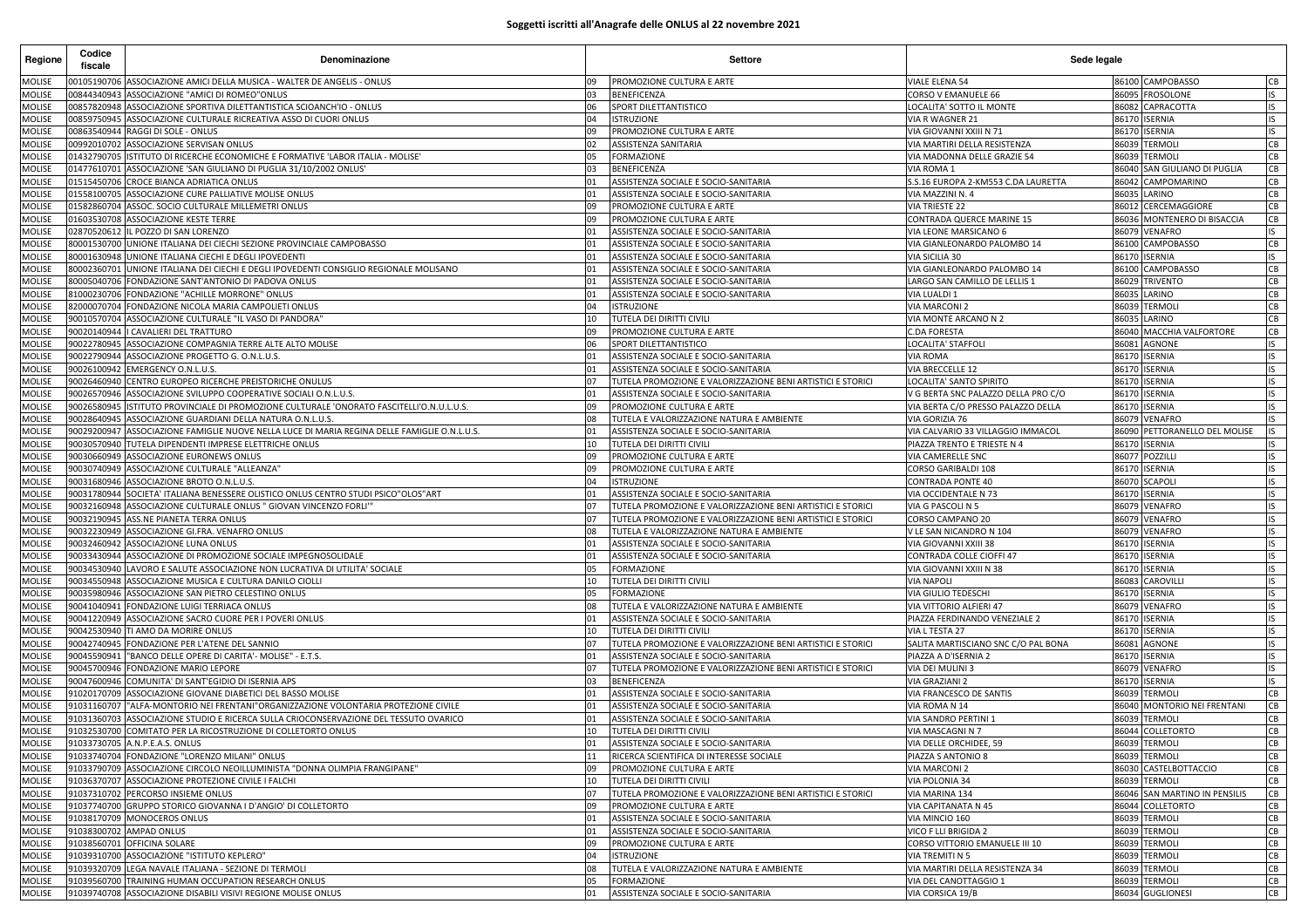## **Soggetti iscritti all'Anagrafe delle ONLUS al 22 novembre 2021**

| Regione                        | Codice<br>fiscale          | Denominazione                                                                                                                              |               | <b>Settore</b>                                                               | Sede legale                                             |                |                                   |           |
|--------------------------------|----------------------------|--------------------------------------------------------------------------------------------------------------------------------------------|---------------|------------------------------------------------------------------------------|---------------------------------------------------------|----------------|-----------------------------------|-----------|
| MOLISE                         |                            | 00105190706 ASSOCIAZIONE AMICI DELLA MUSICA - WALTER DE ANGELIS - ONLUS                                                                    | 09            | PROMOZIONE CULTURA E ARTE                                                    | VIALE ELENA 54                                          |                | 86100 CAMPOBASSO                  | CB        |
| <b>MOLISE</b>                  | 00844340943                | ASSOCIAZIONE "AMICI DI ROMEO"ONLUS                                                                                                         | 03            | <b>BENEFICENZA</b>                                                           | CORSO V EMANUELE 66                                     | 86095          | <b>FROSOLONE</b>                  | IS        |
| <b>MOLISE</b>                  | 00857820948                | ASSOCIAZIONE SPORTIVA DILETTANTISTICA SCIOANCH'IO - ONLUS                                                                                  | 06            | SPORT DILETTANTISTICO                                                        | LOCALITA' SOTTO IL MONTE                                | 86082          | CAPRACOTTA                        | IS        |
| MOLISE                         | 00859750945                | ASSOCIAZIONE CULTURALE RICREATIVA ASSO DI CUORI ONLUS                                                                                      | 04            | <b>ISTRUZIONE</b>                                                            | VIA R WAGNER 21                                         | 86170          | <b>ISERNIA</b>                    | IS        |
| <b>MOLISE</b>                  | 00863540944                | RAGGI DI SOLE - ONLUS                                                                                                                      | 09            | PROMOZIONE CULTURA E ARTE                                                    | VIA GIOVANNI XXIII N 71                                 | 86170          | <b>ISERNIA</b>                    | IS.       |
| MOLISE                         | 00992010702                | ASSOCIAZIONE SERVISAN ONLUS                                                                                                                | 02            | <b>ASSISTENZA SANITARIA</b>                                                  | VIA MARTIRI DELLA RESISTENZA                            | 86039          | TERMOLI                           | CB        |
| MOLISE                         | 01432790705                | ISTITUTO DI RICERCHE ECONOMICHE E FORMATIVE 'LABOR ITALIA - MOLISE'                                                                        | 05            | <b>FORMAZIONE</b>                                                            | VIA MADONNA DELLE GRAZIE 54                             | 86039          | <b>TERMOLI</b>                    | CВ        |
| <b>MOLISE</b>                  | 01477610701                | ASSOCIAZIONE 'SAN GIULIANO DI PUGLIA 31/10/2002 ONLUS                                                                                      | 03            | <b>BENEFICENZA</b>                                                           | VIA ROMA 1                                              | 86040          | SAN GIULIANO DI PUGLIA            | CB        |
| <b>MOLISE</b><br><b>MOLISE</b> | 01515450706<br>01558100705 | CROCE BIANCA ADRIATICA ONLUS<br>ASSOCIAZIONE CURE PALLIATIVE MOLISE ONLUS                                                                  | 01<br>$_{01}$ | ASSISTENZA SOCIALE E SOCIO-SANITARIA<br>ASSISTENZA SOCIALE E SOCIO-SANITARIA | S.S.16 EUROPA 2-KM553 C.DA LAURETTA<br>VIA MAZZINI N. 4 | 86042<br>86035 | CAMPOMARINO<br>LARINO             | CB<br>CВ  |
| <b>MOLISE</b>                  | 01582860704                | ASSOC. SOCIO CULTURALE MILLEMETRI ONLUS                                                                                                    | 09            | PROMOZIONE CULTURA E ARTE                                                    | VIA TRIESTE 22                                          | 86012          | CERCEMAGGIORE                     | CВ        |
| <b>MOLISE</b>                  |                            | 01603530708 ASSOCIAZIONE KESTE TERRE                                                                                                       | 09            | PROMOZIONE CULTURA E ARTE                                                    | CONTRADA QUERCE MARINE 15                               | 86036          | MONTENERO DI BISACCIA             | CB        |
| MOLISE                         | 02870520612                | IL POZZO DI SAN LORENZO                                                                                                                    |               | ASSISTENZA SOCIALE E SOCIO-SANITARIA                                         | VIA LEONE MARSICANO 6                                   | 86079          | VENAFRO                           | IS        |
| <b>MOLISE</b>                  | 80001530700                | UNIONE ITALIANA DEI CIECHI SEZIONE PROVINCIALE CAMPOBASSO                                                                                  | 01            | ASSISTENZA SOCIALE E SOCIO-SANITARIA                                         | VIA GIANLEONARDO PALOMBO 14                             | 86100          | CAMPOBASSO                        | CB        |
| <b>MOLISE</b>                  |                            | 80001630948 UNIONE ITALIANA CIECHI E DEGLI IPOVEDENTI                                                                                      | 01            | ASSISTENZA SOCIALE E SOCIO-SANITARIA                                         | VIA SICILIA 30                                          | 86170          | <b>ISERNIA</b>                    | IS        |
| <b>MOLISE</b>                  | 80002360701                | UNIONE ITALIANA DEI CIECHI E DEGLI IPOVEDENTI CONSIGLIO REGIONALE MOLISANO                                                                 | $_{01}$       | ASSISTENZA SOCIALE E SOCIO-SANITARIA                                         | VIA GIANLEONARDO PALOMBO 14                             | 86100          | CAMPOBASSO                        | CB        |
| <b>MOLISE</b>                  | 80005040706                | FONDAZIONE SANT'ANTONIO DI PADOVA ONLUS                                                                                                    | 01            | ASSISTENZA SOCIALE E SOCIO-SANITARIA                                         | LARGO SAN CAMILLO DE LELLIS 1                           | 86029          | TRIVENTO                          | CB        |
| <b>MOLISE</b>                  | 81000230706                | FONDAZIONE "ACHILLE MORRONE" ONLUS                                                                                                         | 01            | ASSISTENZA SOCIALE E SOCIO-SANITARIA                                         | VIA LUALDI 1                                            | 86035          | LARINO                            | CB        |
| <b>MOLISE</b>                  | 82000070704                | FONDAZIONE NICOLA MARIA CAMPOLIETI ONLUS                                                                                                   | 04            | <b>ISTRUZIONE</b>                                                            | VIA MARCONI 2                                           | 86039          | <b>TERMOLI</b>                    | CB        |
| <b>MOLISE</b>                  | 90010570704                | ASSOCIAZIONE CULTURALE "IL VASO DI PANDORA"                                                                                                | 10            | TUTELA DEI DIRITTI CIVILI                                                    | VIA MONTE ARCANO N 2                                    | 86035          | LARINO                            | СB        |
| <b>MOLISE</b>                  | 90020140944                | I CAVALIERI DEL TRATTURO                                                                                                                   | 09            | PROMOZIONE CULTURA E ARTE                                                    | C.DA FORESTA                                            | 86040          | MACCHIA VALFORTORE                | CB        |
| MOLISE                         | 90022780945                | ASSOCIAZIONE COMPAGNIA TERRE ALTE ALTO MOLISE                                                                                              | 06            | SPORT DILETTANTISTICO                                                        | OCALITA' STAFFOLI                                       | 86081          | AGNONE                            | IS        |
| <b>MOLISE</b>                  |                            | 90022790944 ASSOCIAZIONE PROGETTO G. O.N.L.U.S                                                                                             | 01            | ASSISTENZA SOCIALE E SOCIO-SANITARIA                                         | <b>VIA ROMA</b>                                         | 86170          | ISERNIA                           | <b>IS</b> |
| <b>MOLISE</b>                  |                            | 90026100942 EMERGENCY O.N.L.U.S.                                                                                                           | 01            | ASSISTENZA SOCIALE E SOCIO-SANITARIA                                         | VIA BRECCELLE 12                                        | 86170          | ISERNIA                           | IS.       |
| <b>MOLISE</b>                  |                            | 90026460940 CENTRO EUROPEO RICERCHE PREISTORICHE ONULUS                                                                                    |               | TUTELA PROMOZIONE E VALORIZZAZIONE BENI ARTISTICI E STORICI                  | LOCALITA' SANTO SPIRITO                                 | 86170          | <b>ISERNIA</b>                    | IS        |
| <b>MOLISE</b>                  | 90026570946                | ASSOCIAZIONE SVILUPPO COOPERATIVE SOCIALI O.N.L.U.S.                                                                                       | 01            | ASSISTENZA SOCIALE E SOCIO-SANITARIA                                         | V G BERTA SNC PALAZZO DELLA PRO C/O                     | 86170          | <b>ISERNIA</b>                    | IS        |
| <b>MOLISE</b>                  | 90026580945                | ISTITUTO PROVINCIALE DI PROMOZIONE CULTURALE 'ONORATO FASCITELLI'O.N.U.L.U.S.                                                              | 09            | PROMOZIONE CULTURA E ARTE                                                    | VIA BERTA C/O PRESSO PALAZZO DELLA                      | 86170          | <b>ISERNIA</b>                    | IS        |
| MOLISE                         | 90028640945                | ASSOCIAZIONE GUARDIANI DELLA NATURA O.N.L.U.S.                                                                                             | າຂ            | TUTELA E VALORIZZAZIONE NATURA E AMBIENTE                                    | VIA GORIZIA 76                                          | 86079          | VENAFRO                           | IS        |
| <b>MOLISE</b>                  | 90029200947                | ASSOCIAZIONE FAMIGLIE NUOVE NELLA LUCE DI MARIA REGINA DELLE FAMIGLIE O.N.L.U.S.                                                           | 01            | ASSISTENZA SOCIALE E SOCIO-SANITARIA                                         | VIA CALVARIO 33 VILLAGGIO IMMACOL                       | 86090          | PETTORANELLO DEL MOLISE           | <b>IS</b> |
| <b>MOLISE</b>                  |                            | 90030570940 TUTELA DIPENDENTI IMPRESE ELETTRICHE ONLUS                                                                                     | 10            | TUTELA DEI DIRITTI CIVILI                                                    | PIAZZA TRENTO E TRIESTE N 4                             | 86170          | <b>ISERNIA</b>                    | IS        |
| MOLISE                         | 90030740949                | 90030660949 ASSOCIAZIONE EURONEWS ONLUS<br>ASSOCIAZIONE CULTURALE "ALLEANZA'                                                               | 09            | PROMOZIONE CULTURA E ARTE                                                    | VIA CAMERELLE SNC                                       | 86077<br>86170 | POZZILLI                          | IS<br>IS  |
| <b>MOLISE</b><br><b>MOLISE</b> |                            | 90031680946 ASSOCIAZIONE BROTO O.N.L.U.S.                                                                                                  | 09<br>04      | PROMOZIONE CULTURA E ARTE<br><b>ISTRUZIONE</b>                               | CORSO GARIBALDI 108                                     | 86070          | SERNIA<br>SCAPOLI                 | IS.       |
| Molise                         |                            | 90031780944 SOCIETA' ITALIANA BENESSERE OLISTICO ONLUS CENTRO STUDI PSICO"OLOS"ART                                                         | 01            | ASSISTENZA SOCIALE E SOCIO-SANITARIA                                         | CONTRADA PONTE 40<br>VIA OCCIDENTALE N 73               | 86170          | <b>ISERNIA</b>                    | IS        |
| <b>MOLISE</b>                  | 90032160948                | ASSOCIAZIONE CULTURALE ONLUS " GIOVAN VINCENZO FORLI'                                                                                      | 07            | TUTELA PROMOZIONE E VALORIZZAZIONE BENI ARTISTICI E STORICI                  | VIA G PASCOLI N 5                                       | 86079          | VENAFRO                           | IS        |
| <b>MOLISE</b>                  |                            | 90032190945 ASS.NE PIANETA TERRA ONLUS                                                                                                     | 07            | TUTELA PROMOZIONE E VALORIZZAZIONE BENI ARTISTICI E STORICI                  | CORSO CAMPANO 20                                        | 86079          | VENAFRO                           | IS.       |
| MOLISE                         |                            | 90032230949 ASSOCIAZIONE GI.FRA. VENAFRO ONLUS                                                                                             | 08            | TUTELA E VALORIZZAZIONE NATURA E AMBIENTE                                    | V LE SAN NICANDRO N 104                                 | 86079          | VENAFRO                           | IS        |
| <b>MOLISE</b>                  | 90032460942                | ASSOCIAZIONE LUNA ONLUS                                                                                                                    | $_{01}$       | ASSISTENZA SOCIALE E SOCIO-SANITARIA                                         | VIA GIOVANNI XXIII 38                                   | 86170          | SERNIA                            | IS        |
| <b>MOLISE</b>                  |                            | 90033430944 ASSOCIAZIONE DI PROMOZIONE SOCIALE IMPEGNOSOLIDALE                                                                             | 01            | ASSISTENZA SOCIALE E SOCIO-SANITARIA                                         | CONTRADA COLLE CIOFFI 47                                | 86170          | ISERNIA                           | IS.       |
| <b>MOLISE</b>                  |                            | 90034530940 LAVORO E SALUTE ASSOCIAZIONE NON LUCRATIVA DI UTILITA' SOCIALE                                                                 | 05            | <b>FORMAZIONE</b>                                                            | VIA GIOVANNI XXIII N 38                                 | 86170          | <b>ISERNIA</b>                    | IS        |
| <b>MOLISE</b>                  | 90034550948                | ASSOCIAZIONE MUSICA E CULTURA DANILO CIOLLI                                                                                                | 10            | TUTELA DEI DIRITTI CIVILI                                                    | <b>VIA NAPOLI</b>                                       | 86083          | CAROVILL                          | IS        |
| <b>MOLISE</b>                  | 90035980946                | ASSOCIAZIONE SAN PIETRO CELESTINO ONLUS                                                                                                    | 05            | <b>FORMAZIONE</b>                                                            | VIA GIULIO TEDESCHI                                     | 86170          | ISERNIA                           | IS.       |
| <b>MOLISE</b>                  | 90041040941                | FONDAZIONE LUIGI TERRIACA ONLUS                                                                                                            | 08            | TUTELA E VALORIZZAZIONE NATURA E AMBIENTE                                    | VIA VITTORIO ALFIERI 47                                 | 86079          | VENAFRO                           | IS        |
| <b>MOLISE</b>                  | 90041220949                | ASSOCIAZIONE SACRO CUORE PER I POVERI ONLUS                                                                                                | 01            | ASSISTENZA SOCIALE E SOCIO-SANITARIA                                         | PIAZZA FERDINANDO VENEZIALE 2                           | 86170          | <b>ISERNIA</b>                    | IS        |
| <b>MOLISE</b>                  | 90042530940                | TI AMO DA MORIRE ONLUS                                                                                                                     | 10            | TUTELA DEI DIRITTI CIVILI                                                    | VIA L TESTA 27                                          | 86170          | SERNIA                            | IS        |
| <b>MOLISE</b>                  | 90042740945                | FONDAZIONE PER L'ATENE DEL SANNIO                                                                                                          | 07            | TUTELA PROMOZIONE E VALORIZZAZIONE BENI ARTISTICI E STORICI                  | SALITA MARTISCIANO SNC C/O PAL BONA                     | 86081          | AGNONE                            | IS        |
| MOLISE                         | 90045590941                | 'BANCO DELLE OPERE DI CARITA'- MOLISE" - E.T.S.                                                                                            | $_{01}$       | ASSISTENZA SOCIALE E SOCIO-SANITARIA                                         | PIAZZA A D'ISERNIA 2                                    | 86170          | <b>ISERNIA</b>                    | IS        |
| <b>MOLISE</b>                  | 90045700946                | FONDAZIONE MARIO LEPORE                                                                                                                    | 07            | TUTELA PROMOZIONE E VALORIZZAZIONE BENI ARTISTICI E STORICI                  | VIA DEI MULINI 3                                        | 86079          | VENAFRO                           | IS        |
| <b>MOLISE</b>                  | 90047600946                | COMUNITA' DI SANT'EGIDIO DI ISERNIA APS                                                                                                    | 03            | <b>BENEFICENZA</b>                                                           | VIA GRAZIANI 2                                          | 86170          | <b>ISERNIA</b>                    | IS        |
| <b>MOLISE</b>                  | 91020170709                | ASSOCIAZIONE GIOVANE DIABETICI DEL BASSO MOLISE                                                                                            | 01            | ASSISTENZA SOCIALE E SOCIO-SANITARIA                                         | VIA FRANCESCO DE SANTIS                                 | 86039          | <b><i>FERMOLI</i></b>             | CВ        |
| MOLISE                         | 91031160707                | "ALFA-MONTORIO NEI FRENTANI"ORGANIZZAZIONE VOLONTARIA PROTEZIONE CIVILE                                                                    | 01            | ASSISTENZA SOCIALE E SOCIO-SANITARIA                                         | VIA ROMA N 14                                           | 86040          | MONTORIO NEI FRENTANI             | CB        |
| MOLISE                         | 91031360703                | ASSOCIAZIONE STUDIO E RICERCA SULLA CRIOCONSERVAZIONE DEL TESSUTO OVARICO<br>91032530700 COMITATO PER LA RICOSTRUZIONE DI COLLETORTO ONLUS | 01            | ASSISTENZA SOCIALE E SOCIO-SANITARIA<br>TUTELA DEI DIRITTI CIVILI            | VIA SANDRO PERTINI 1                                    | 86039          | TERMOLI                           | CВ        |
| <b>MOLISE</b><br><b>MOLISE</b> |                            |                                                                                                                                            | 10<br>01      | ASSISTENZA SOCIALE E SOCIO-SANITARIA                                         | VIA MASCAGNI N 7<br>VIA DELLE ORCHIDEE, 59              |                | 86044 COLLETORTO<br>86039 TERMOLI | CB<br>CB  |
| <b>MOLISE</b>                  |                            | 91033730705 A.N.P.E.A.S. ONLUS<br>91033740704 FONDAZIONE "LORENZO MILANI" ONLUS                                                            | 11            | RICERCA SCIENTIFICA DI INTERESSE SOCIALE                                     | PIAZZA S ANTONIO 8                                      |                | 86039 TERMOLI                     | CB        |
| <b>MOLISE</b>                  |                            | 91033790709 ASSOCIAZIONE CIRCOLO NEOILLUMINISTA "DONNA OLIMPIA FRANGIPANE"                                                                 | 09            | PROMOZIONE CULTURA E ARTE                                                    | <b>VIA MARCONI 2</b>                                    |                | 86030 CASTELBOTTACCIO             | CB        |
| MOLISE                         |                            | 91036370707 ASSOCIAZIONE PROTEZIONE CIVILE I FALCHI                                                                                        | 10            | TUTELA DEI DIRITTI CIVILI                                                    | VIA POLONIA 34                                          |                | 86039 TERMOLI                     | CB        |
| MOLISE                         |                            | 91037310702 PERCORSO INSIEME ONLUS                                                                                                         | 07            | TUTELA PROMOZIONE E VALORIZZAZIONE BENI ARTISTICI E STORICI                  | VIA MARINA 134                                          |                | 86046 SAN MARTINO IN PENSILIS     | CB        |
| <b>MOLISE</b>                  |                            | 91037740700 GRUPPO STORICO GIOVANNA I D'ANGIO' DI COLLETORTO                                                                               | 09            | PROMOZIONE CULTURA E ARTE                                                    | VIA CAPITANATA N 45                                     |                | 86044 COLLETORTO                  | CB        |
| <b>MOLISE</b>                  |                            | 91038170709 MONOCEROS ONLUS                                                                                                                | 01            | ASSISTENZA SOCIALE E SOCIO-SANITARIA                                         | VIA MINCIO 160                                          | 86039          | <b>TERMOLI</b>                    | CB        |
| <b>MOLISE</b>                  |                            | 91038300702 AMPAD ONLUS                                                                                                                    | 01            | ASSISTENZA SOCIALE E SOCIO-SANITARIA                                         | VICO F LLI BRIGIDA 2                                    | 86039          | <b>TERMOLI</b>                    | CB        |
| <b>MOLISE</b>                  |                            | 91038560701 OFFICINA SOLARE                                                                                                                | 09            | PROMOZIONE CULTURA E ARTE                                                    | CORSO VITTORIO EMANUELE III 10                          | 86039          | <b>TERMOLI</b>                    | CB        |
| <b>MOLISE</b>                  |                            | 91039310700 ASSOCIAZIONE "ISTITUTO KEPLERO"                                                                                                | 04            | <b>ISTRUZIONE</b>                                                            | VIA TREMITI N 5                                         | 86039          | <b>TERMOLI</b>                    | CB        |
| MOLISE                         |                            | 91039320709 LEGA NAVALE ITALIANA - SEZIONE DI TERMOLI                                                                                      | 08            | TUTELA E VALORIZZAZIONE NATURA E AMBIENTE                                    | VIA MARTIRI DELLA RESISTENZA 34                         | 86039          | TERMOLI                           | CB        |
| MOLISE                         |                            | 91039560700 TRAINING HUMAN OCCUPATION RESEARCH ONLUS                                                                                       | 05            | <b>FORMAZIONE</b>                                                            | VIA DEL CANOTTAGGIO 1                                   | 86039          | <b>TERMOLI</b>                    | CB        |
| <b>MOLISE</b>                  |                            | 91039740708 ASSOCIAZIONE DISABILI VISIVI REGIONE MOLISE ONLUS                                                                              | 01            | ASSISTENZA SOCIALE E SOCIO-SANITARIA                                         | VIA CORSICA 19/B                                        |                | 86034 GUGLIONESI                  | CB        |